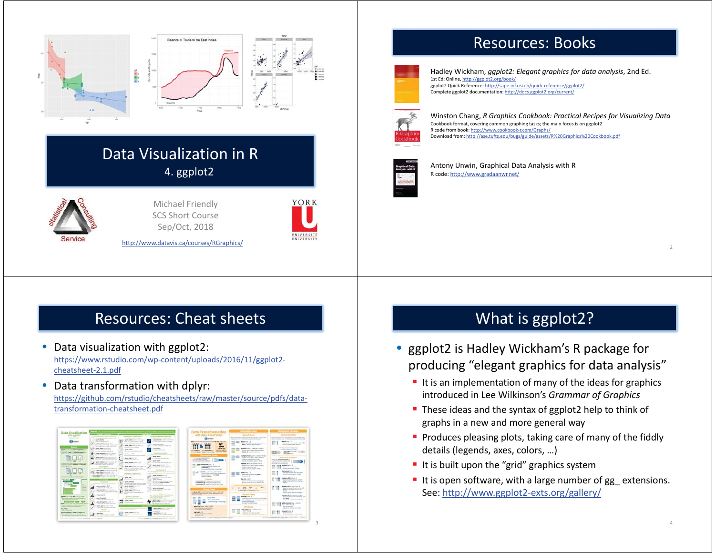



#### Data Visualization in R 4. ggplot2



Michael Friendly SCS Short Course Sep/Oct, 2018



3

http://www.datavis.ca/courses/RGraphics/

### Resources: Cheat sheets

- Data visualization with ggplot2: https://www.rstudio.com/wp-content/uploads/2016/11/ggplot2 cheatsheet-2.1.pdf
- $\bullet$  Data transformation with dplyr: https://github.com/rstudio/cheatsheets/raw/master/source/pdfs/datatransformation-cheatsheet.pdf

| Data Visualization                                                                                                                                |                                                                                                                                    |                                                                                                                                                                           |                                                                                                                           | Data Transformation                                                                                                                               | _______                                                                                                                                               | <b>Maskette Territor</b>                                                                                                                                |
|---------------------------------------------------------------------------------------------------------------------------------------------------|------------------------------------------------------------------------------------------------------------------------------------|---------------------------------------------------------------------------------------------------------------------------------------------------------------------------|---------------------------------------------------------------------------------------------------------------------------|---------------------------------------------------------------------------------------------------------------------------------------------------|-------------------------------------------------------------------------------------------------------------------------------------------------------|---------------------------------------------------------------------------------------------------------------------------------------------------------|
| with gaples!                                                                                                                                      | ___<br>the transport experience is a position of the substan-                                                                      | <b>Southerness &amp; Australian Ave.</b>                                                                                                                                  | announced through the projects                                                                                            |                                                                                                                                                   | <b>Driverd Cases</b>                                                                                                                                  | <b><i>Call Call of Call Call Call Call</i></b>                                                                                                          |
| <b><i><i><u><b>The air Great</b></u></i></i></b>                                                                                                  | T. St. married and control to the con-<br>street, South                                                                            | the property state and state<br>gase laudentiers and letter                                                                                                               | and the first state of the con-<br>gase deadly could not it in the                                                        | <b>Chinada</b>                                                                                                                                    | they be retained and a to hand of ratio at a seam start, can a growth<br>Expenditure - The rest manufacture and content financial contact             | Today on a face of the children of the selection data interested on the<br>at art is at order . In the statistical advertised over                      |
| <b>Citizens</b>                                                                                                                                   | than the brack product<br>with conditioned that 1.<br>Manhood Council Council Lakes<br>with Auto San Arrest Artists and            | sing in a new series which<br>a single parties are all the children and the<br>the control of any<br>gove plastnut in cash of                                             | anta con la colora ad post-<br><b>GOLDSMITH</b><br>A L. Andra article string research and                                 |                                                                                                                                                   | <b>Rigolators</b><br>hinday man but hope company many loss.<br>-<br><b>Not in National Association of</b>                                             | adaptivity.<br>consumer and the control of the sense of the<br>allocated characterized detector                                                         |
| agent client of a previous standard for                                                                                                           | <b>Senior Additional Profit</b><br>WaterCoast, Supreme &                                                                           | and address areas of a production<br><b>STATE AND REAL</b>                                                                                                                | sent box<br><b>And All And A</b>                                                                                          | of North Right                                                                                                                                    | <b>HIS _ME</b><br><b>RATHABLING  AND JE - 78, 211</b>                                                                                                 | the column resource and comments<br><b>ARTISTS, ALEX AND SQUARE</b>                                                                                     |
| the market country the state of the country of a change of the<br>more in about 1 charters when it<br>the company's state and company's state and | to deliver also an actual transfer<br>given policients on private consults<br>A control way to provide the top of                  | the advertisement of the components are seen<br>good guardent                                                                                                             | <b><i><u>START COMMENT COMMENTS</u></i></b><br>continued in the contract of the                                           | <b>STARTWOOD CONTRACTOR</b><br><b>Newman</b> Rough<br>I first stock and children by                                                               | de tore tractell scalcitures into<br>distant in announcement contract.                                                                                | And respective state. Link front<br><b>STATISTICS</b><br><b>BOR ARRIVALLE</b><br>$-0.01$<br>to a family<br><b>SURFACE COLLS</b><br><b>BASE ARRIVERS</b> |
| alternative adverses                                                                                                                              | where the product service is the automatic<br>Constitution and the first service                                                   | 1.000-7803-1000-00-000<br>sent rations for                                                                                                                                | where, model<br>and the court of company and                                                                              | <b><i>Summaring Play</i></b><br>Then you appropriate business of                                                                                  | week Sadii use i sous-Auto<br>ength "Suis-Ale" approximated<br>and CO                                                                                 | <b>Build Sea Natalities</b>                                                                                                                             |
| <b>State Cold</b><br><b>Service</b><br>on the lease.<br><b>COMPANY</b>                                                                            | diar.<br>and will also sale if mean are<br><b>Senate - Manufacturers</b><br><b>STATE OF THE</b>                                    | THE REPORT OF STATE AND<br><b>MARINE ARRANGEMENT FOR THE ANNUAL</b>                                                                                                       | sent ford<br>a to define only speed shared and                                                                            | and the property of the control<br>a control to the control with the party of<br>The FIFE Burning and company                                     | the state for money that they of state."<br>most factor at announced that                                                                             | They will approve the funds of<br>and the company's below at her 11<br>in Francisco estate control che la                                               |
| hange allow mail products of the Archi-<br>control of high-to-seekans cluster and<br><b>Home Street,</b>                                          | the statute think cates and<br>and who are it goes below up<br><b>Los Reports</b><br>m<br>discovered when a policy size integrated | a state and to the process the process of the<br>perm brefore industry and audio 1972.<br>$\sim$<br>colors and chart design things<br>A solid with only one win articles. | and detroit of the<br>the Mill of Lane model in                                                                           | <b>BAS school in </b><br>harvested a charteries for<br>American A<br>Artist Military and Television                                               | setteds, aftit can include the fit.<br>weight Hillsch, Willy Learners Parket B.<br>the claim is about it the most<br>annual circle of subset of their | special angle securities that chance<br>tilt , hors Maketslink<br><b>Telephone Association Print</b><br>Automotive Art - One                            |
|                                                                                                                                                   | www.aking-comment.com/cf<br>a.<br>to the president control of                                                                      | and contrast and and                                                                                                                                                      | <b><i><u>Started Controllers</u></i></b><br>division in the U.S. by the Life<br>Capital Constitution for the policy and a | <b>MARKET L. ART TWO L. AND IT RESTS.</b>                                                                                                         | distant                                                                                                                                               | <b>banaded too.</b> I                                                                                                                                   |
|                                                                                                                                                   | sentence and product the sentence of the last<br>goes agreed a control and the U.S.<br>were aggregated the control and of          | Branda & Darlington's<br>Contractor and Contractor                                                                                                                        | goes conduction of<br>and a residence of the state of                                                                     | Countries they of their fit with a buy of from<br>Artist strating to the right<br><b>Andrew Service</b>                                           | bonic coach to constitute allow and<br><b>COLLANS</b>                                                                                                 | dealership and a party colleand                                                                                                                         |
| <b>Second</b><br>and the company                                                                                                                  | <b>SHARRE</b>                                                                                                                      | <b>STATISTICS</b><br>a podatili elipsychi grani premate con-                                                                                                              | <b>STATE AND</b><br><b>AND ADDRESS</b><br>contact their dealers labor stress formers.                                     |                                                                                                                                                   | <b>BARTHART</b><br>balan menurut yap certain bugitup?                                                                                                 | modules addition from 1<br>district and dealership control and well-                                                                                    |
| <b>Service Contractor</b><br><b>CONTRACTOR</b><br>-                                                                                               | <b>Services</b><br>tel, Arlington C. Allenton,                                                                                     | seen beautif<br>Limax, widow lands state alone states<br>the Kuston better funding story                                                                                  | to the course and later<br>sales insulated.                                                                               | a production with the publication researchers.<br>a production and chairs have a material com-<br>summering all there have not allow the training | government and with a dealer than                                                                                                                     | <b>Week many admitted fundales</b><br><b>AND IN</b>                                                                                                     |
| <b>COLLEGE</b><br>-<br>-<br>-<br>-                                                                                                                | Fedr - manager, resear<br>a località para di manera con-                                                                           | sports, designation and the<br>single in the world.                                                                                                                       | a carry also have a simple a series of the company<br>gren announced                                                      |                                                                                                                                                   | men.<br><b>WARRE</b><br>$-$<br>$\sim$<br><b>Service</b><br>$-1$                                                                                       | <b>Badana affirm with first. I</b><br>Bally Storik and County from Decoration                                                                           |
| $-$<br>---<br>--                                                                                                                                  | great development channels.<br>a control and the project determined the                                                            | the product of the first product<br>good patterns and it<br><br>a della mile di programmazione                                                                            | Control of the Advanced Scottish<br><b><i>Contact Manager</i></b>                                                         | <b>Press Caree</b><br>LANA METAIREY WANT OUTLINE FOR                                                                                              | or Root-Age.com Romanteer in No.                                                                                                                      | Senator And The School Countries for<br>--<br>month after design facilities in                                                                          |
| position that and constituted                                                                                                                     | area Antonio<br>----                                                                                                               |                                                                                                                                                                           | ______<br>and the company's property of                                                                                   | short-at-Transmission along assistant instrum-<br>and the second con-                                                                             | <b>Bridge Eleve</b>                                                                                                                                   | manage \$5.00 Americans bust                                                                                                                            |
| been count for a critical fundamental<br>and the property of the property of the co-                                                              | Lanes Propello)<br>A 1-days who since remain today                                                                                 | <b>Barrette &amp; Stewart 11</b><br>and characterized and constructions                                                                                                   | the company state.<br>and the control of the control<br>1. Land Address to concern the                                    | <b><i>Philadelphia</i></b><br>grass Adult W.W.                                                                                                    | enrading 3<br>from machinesis of export two entabl-<br>an of deal in one hand grown.                                                                  | dealerships in the local time of a tracing is an<br>of their<br>Animals (Blvd. de statement) Streethwall of                                             |
| $-0.000$<br>green to do you can show from short-chall                                                                                             | great Autograph could be<br>The art of the company of the company of the                                                           | <b>WASHING</b><br><br>the state with the trans and close-<br>$\sim$                                                                                                       | bank bolls control (model)<br>the at given the division on                                                                | <b>Sympathy</b><br><b>Solemn Street Control</b>                                                                                                   | <b>All and American Street.</b><br>progetting dealership                                                                                              | 200 - DETW ARE ANIMALISTS  Select                                                                                                                       |
| The party of the printer state and the party of the party of the party<br>Transit is a provided a state of the AT                                 | www.asternation.com<br>A LAPS HE ROBERT WARRY                                                                                      |                                                                                                                                                                           |                                                                                                                           | street, but you  pay you and                                                                                                                      | <b><i><u>Additional</u></i></b>                                                                                                                       | Building March State<br>And management                                                                                                                  |
| <b>NATIONAL</b><br>AGNES AVE                                                                                                                      | <b>STATISTICS</b><br>the company's bank and the                                                                                    | and the contract of the contract of                                                                                                                                       | grade metallica cities of the profits.<br>product and product to the United<br>$-1400$                                    | <b>Room capability and control</b><br>A the series with factor.                                                                                   | add real into  into a risky.<br>$-300$<br>$360 - 9.12$                                                                                                | and extensions are visit<br><b>MARGERS</b>                                                                                                              |
| pained blottery", with 13 league 130<br>the bank and streets are the control to provide a state<br>three directs, development and all contacts    | Area Bart<br>Listen, Listen Personal and condi-                                                                                    | good, computer in the<br>ш<br>and with comes group francs one                                                                                                             | good, Important Corp.<br>to the same of a company can seem                                                                | <b>CARDINAL I</b><br><b>Rock cars and car in the</b><br><b>CARD AND THE</b>                                                                       | <b>Ball and at those financial contact</b><br>and conditions associates of perform of                                                                 | Wrangled Print<br><b>SCANDER FOR CHARGES</b>                                                                                                            |

# Resources: Books



Hadley Wickham, *ggplot2: Elegant graphics for data analysis*, 2nd Ed. 1st Ed: Online, http://ggplot2.org/book/ ggplot2 Quick Reference: http://sape.inf.usi.ch/quick-reference/ggplot2/ Complete ggplot2 documentation: http://docs.ggplot2.org/current/



Winston Chang, *R Graphics Cookbook: Practical Recipes for Visualizing Data*  Cookbook format, covering common graphing tasks; the main focus is on ggplot2 R code from book: http://www.cookbook-r.com/Graphs/ Download from: http://ase.tufts.edu/bugs/guide/assets/R%20Graphics%20Cookbook.pdf

2

4



Antony Unwin, Graphical Data Analysis with R R code: http://www.gradaanwr.net/

### What is ggplot2?

- $\bullet$  ggplot2 is Hadley Wickham's R package for producing "elegant graphics for data analysis"
	- It is an implementation of many of the ideas for graphics introduced in Lee Wilkinson's *Grammar of Graphics*
	- These ideas and the syntax of ggplot2 help to think of graphs in a new and more general way
	- **Produces pleasing plots, taking care of many of the fiddly** details (legends, axes, colors, …)
	- It is built upon the "grid" graphics system
	- It is open software, with a large number of gg\_extensions. See: http://www.ggplot2-exts.org/gallery/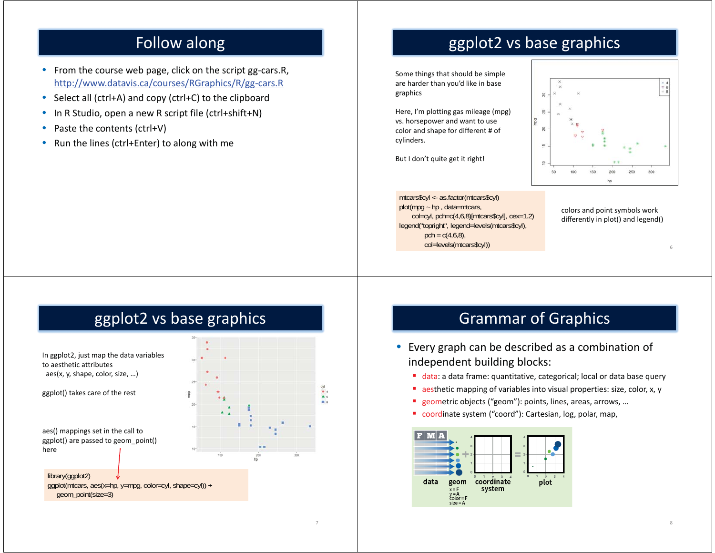# Follow along

- From the course web page, click on the script gg-cars.R, http://www.datavis.ca/courses/RGraphics/R/gg-cars.R
- $\bullet$ Select all (ctrl+A) and copy (ctrl+C) to the clipboard
- •In R Studio, open a new R script file (ctrl+shift+N)
- •Paste the contents (ctrl+V)
- •Run the lines (ctrl+Enter) to along with me

# ggplot2 vs base graphics

Some things that should be simple are harder than you'd like in base graphics

Here, I'm plotting gas mileage (mpg) vs. horsepower and want to use color and shape for different # of cylinders.

But I don't quite get it right!

mtcars\$cyl <- as.factor(mtcars\$cyl)  $plot(mpq - hp, data=mtcars,$  col=cyl, pch=c(4,6,8)[mtcars\$cyl], cex=1.2) legend("topright", legend=levels(mtcars\$cyl), pch =  $c(4,6,8)$ , col=levels(mtcars\$cyl))



colors and point symbols work differently in plot() and legend()

6

8

# ggplot2 vs base graphics



aes() mappings set in the call to ggplot() are passed to geom\_point() here

library(ggplot2) ggplot(mtcars, aes(x=hp, y=mpg, color=cyl, shape=cyl)) + geom\_point(size=3)



7

# Grammar of Graphics

- Every graph can be described as a combination of independent building blocks:
	- data: a data frame: quantitative, categorical; local or data base query
	- × aesthetic mapping of variables into visual properties: size, color, x, y
	- $\blacksquare$ geometric objects ("geom"): points, lines, areas, arrows, …
	- coordinate system ("coord"): Cartesian, log, polar, map,

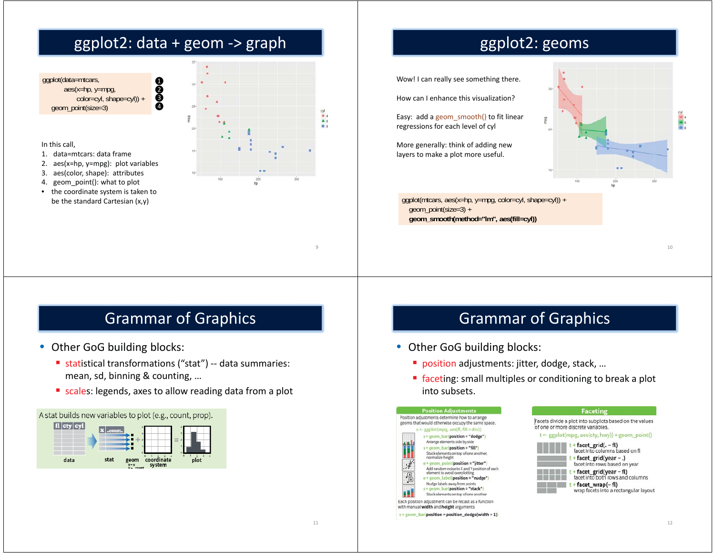# ggplot2: data + geom -> graph

ඹ ය ර Ŏ

ggplot(data=mtcars, aes(x=hp, y=mpg, color=cyl, shape=cyl)) + geom\_point(size=3)

#### In this call,

- 1. data=mtcars: data frame
- 2. aes(x=hp, y=mpg): plot variables
- 3. aes(color, shape): attributes
- 4. geom\_point(): what to plot
- • the coordinate system is taken to be the standard Cartesian (x,y)



## ggplot2: geoms

Wow! I can really see something there.

How can I enhance this visualization?

Easy: add a geom\_smooth() to fit linear regressions for each level of cyl

More generally: think of adding new layers to make a plot more useful.

ggplot(mtcars, aes(x=hp, y=mpg, color=cyl, shape=cyl)) + geom\_point(size=3) + **geom\_smooth(method="lm", aes(fill=cyl))**

10

### Grammar of Graphics

- Other GoG building blocks:
	- statistical transformations ("stat") -- data summaries: mean, sd, binning & counting, …
	- scales: legends, axes to allow reading data from a plot





### Grammar of Graphics

- Other GoG building blocks:
	- position adjustments: jitter, dodge, stack, ...
	- faceting: small multiples or conditioning to break a plot into subsets.

**Faceting** 

facet\_grid(.~fl)

+ facet\_grid(year ~ .)

facet\_grid(year - fl)

facet into columns based on fl

facet into rows based on year

facet into both rows and columns



| $t +$ facet_wrap(~fl)                 |
|---------------------------------------|
| wrap facets into a rectangular layout |

Each position adjustment can be recast as a function with manual width and height arguments

s + geom\_bar(position = position\_dodge(width = 1)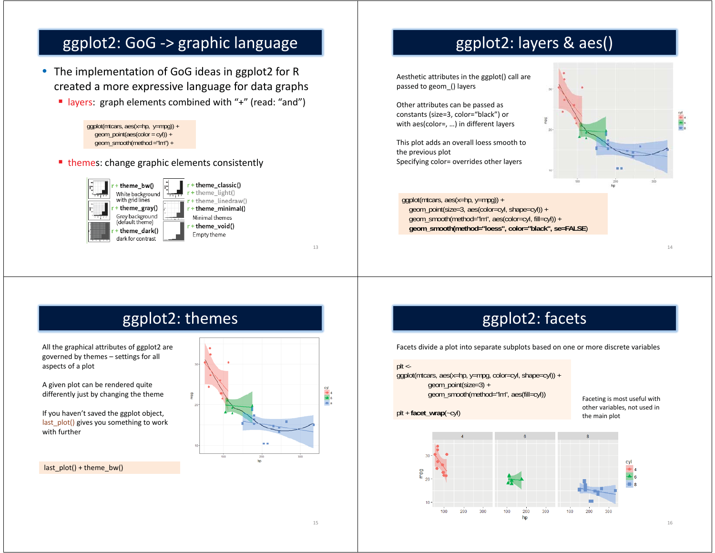### ggplot2: GoG -> graphic language

- The implementation of GoG ideas in ggplot2 for R created a more expressive language for data graphs
	- layers: graph elements combined with "+" (read: "and")



■ themes: change graphic elements consistently



## ggplot2: layers & aes()

Aesthetic attributes in the ggplot() call are passed to geom\_() layers

Other attributes can be passed as constants (size=3, color="black") or with aes(color=, …) in different layers

This plot adds an overall loess smooth to the previous plot Specifying color= overrides other layers

ggplot(mtcars, aes(x=hp, y=mpg)) + geom\_point(size=3, aes(color=cyl, shape=cyl)) + geom\_smooth(method="lm", aes(color=cyl, fill=cyl)) <sup>+</sup> **geom\_smooth(method="loess", color="black", se=FALSE**)

14

### ggplot2: themes

All the graphical attributes of ggplot2 are governed by themes – settings for all aspects of a plot

A given plot can be rendered quite differently just by changing the theme

If you haven't saved the ggplot object, last plot() gives you something to work with further

last  $plot() +$  theme bw()



# ggplot2: facets

Facets divide a plot into separate subplots based on one or more discrete variables

#### $plt < -$

ggplot(mtcars, aes(x=hp, y=mpg, color=cyl, shape=cyl)) + geom\_point(size=3) + geom\_smooth(method="lm", aes(fill=cyl))

plt <sup>+</sup> **facet\_wrap**(~cyl)

Faceting is most useful with other variables, not used in the main plot

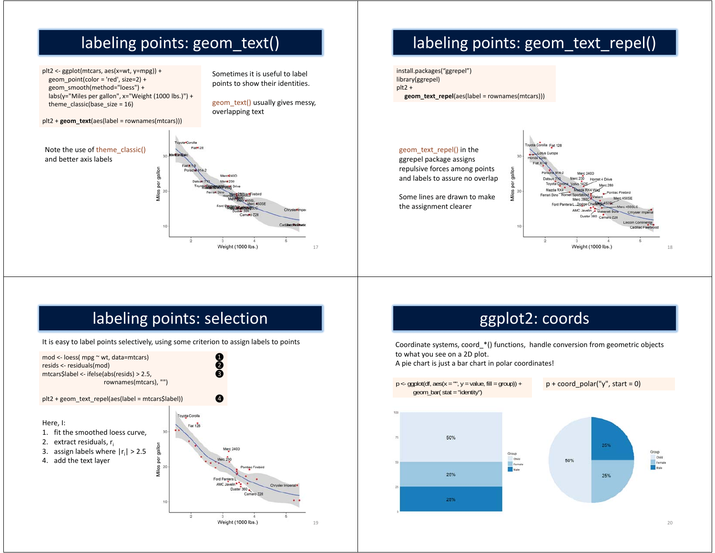# labeling points: geom\_text()

plt2 <- ggplot(mtcars, aes(x=wt, y=mpg)) + geom\_point(color = 'red', size=2) + geom\_smooth(method="loess") + labs(y="Miles per gallon", x="Weight (1000 lbs.)") + theme\_classic(base\_size = 16)

#### plt2 + **geom\_text**(aes(label = rownames(mtcars)))

#### Note the use of theme\_classic() and better axis labels

Sometimes it is useful to label points to show their identities.

geom\_text() usually gives messy, overlapping text

17



# labeling points: geom\_text\_repel()

install.packages("ggrepel") library(ggrepel) plt2 + **geom\_text\_repel**(aes(label = rownames(mtcars)))

geom\_text\_repel() in the ggrepel package assigns repulsive forces among points and labels to assure no overlap

Some lines are drawn to make the assignment clearer



# labeling points: selection

It is easy to label points selectively, using some criterion to assign labels to points



# ggplot2: coords

Coordinate systems, coord\_\*() functions, handle conversion from geometric objects to what you see on a 2D plot. A pie chart is just a bar chart in polar coordinates!

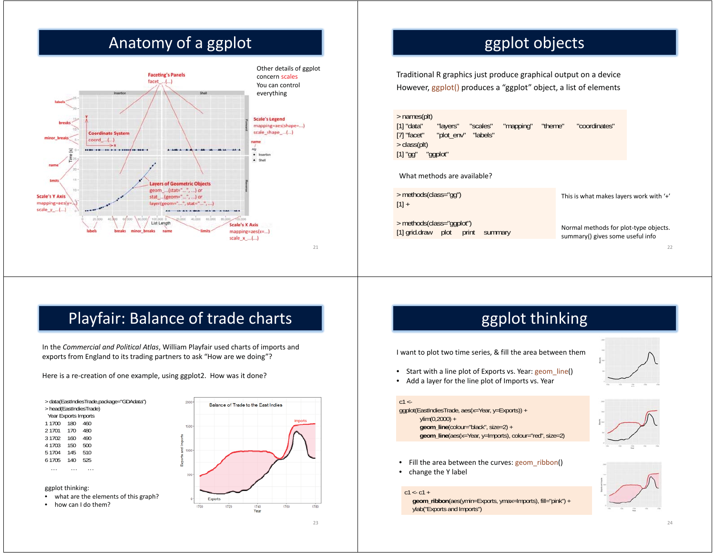# Anatomy of a ggplot



# ggplot objects

Traditional R graphics just produce graphical output on a device However, ggplot() produces a "ggplot" object, a list of elements

> names(plt) [1] "data" "layers" "scales" "mapping" "theme" "coordinates" [7] "facet" "plot\_env" "labels" > class(plt) [1] "gg" "ggplot"

#### What methods are available?

> methods(class="gg")  $[1] +$ 

> methods(class="ggplot") [1] grid.draw plot print summary This is what makes layers work with '+'

Normal methods for plot-type objects. summary() gives some useful info

22

# Playfair: Balance of trade charts

In the *Commercial and Political Atlas*, William Playfair used charts of imports and exports from England to its trading partners to ask "How are we doing"?

Here is a re-creation of one example, using ggplot2. How was it done?

> data(EastIndiesTrade,package="GDAdata") > head(EastIndiesTrade) Year Exports Imports<br>1 1700 180 460 1 1700 480 2 1701 170 3 1702 160 4904 1703 150 500510 5 1704 145 525 6 1705 140 … … …

#### ggplot thinking:

- what are the elements of this graph?
- how can I do them?



# ggplot thinking

I want to plot two time series, & fill the area between them

- Start with a line plot of Exports vs. Year: geom\_line()
- •Add a layer for the line plot of Imports vs. Year

#### $c1 < -$

ggplot(EastIndiesTrade, aes(x=Year, y=Exports)) +  $ylim(0,2000) +$ **geom\_line**(colour="black", size=2) + **geom\_line**(aes(x=Year, y=Imports), colour="red", size=2)





- Fill the area between the curves: geom\_ribbon()
- •change the Y label

#### $c1 < c1 +$

**geom\_ribbon**(aes(ymin=Exports, ymax=Imports), fill="pink") + ylab("Exports and Imports")

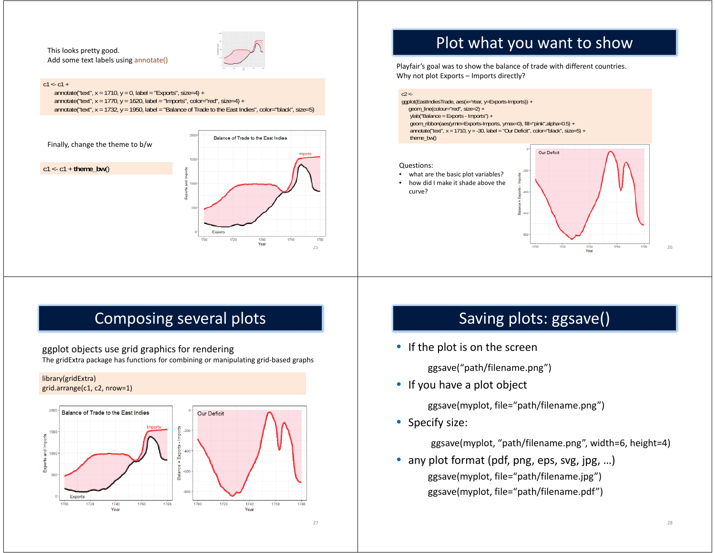This looks pretty good. Add some text labels using annotate()



#### $c1 < c1 +$

annotate("text",  $x = 1710$ ,  $y = 0$ , label = "Exports", size=4) + annotate("text",  $x = 1770$ ,  $y = 1620$ , label = "Imports", color="red", size=4) + annotate("text", x = 1732, y = 1950, label = "Balance of Trade to the East Indies", color="black", size=5)



### Plot what you want to show

Playfair's goal was to show the balance of trade with different countries. Why not plot Exports – Imports directly?

#### $c2 < -$

ggplot(EastIndiesTrade, aes(x=Year, y=Exports-Imports)) + geom\_line(colour="red", size=2) + ylab("Balance = Exports - Imports") + geom\_ribbon(aes(ymin=Exports-Imports, ymax=0), fill="pink",alpha=0.5) + annotate("text",  $x = 1710$ ,  $y = 30$ , label = "Our Deficit", color="black", size=5) + theme\_bw()

#### Questions:

- what are the basic plot variables?
- • how did I make it shade above the curve?



### Composing several plots

ggplot objects use grid graphics for rendering

The gridExtra package has functions for combining or manipulating grid-based graphs





### Saving plots: ggsave()

• If the plot is on the screen

ggsave("path/filename.png")

• If you have a plot object

ggsave(myplot, file="path/filename.png")

• Specify size:

ggsave(myplot, "path/filename.png", width=6, height=4)

• any plot format (pdf, png, eps, svg, jpg, ...) ggsave(myplot, file="path/filename.jpg") ggsave(myplot, file="path/filename.pdf")

27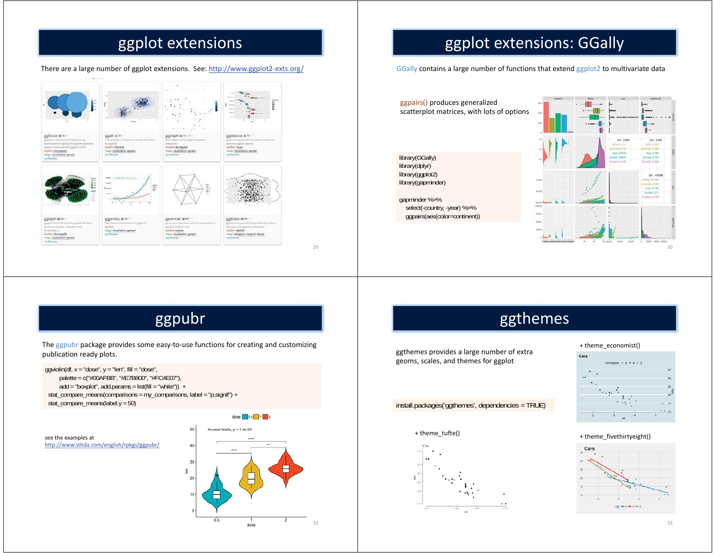# ggplot extensions

There are a large number of ggplot extensions. See: http://www.ggplot2-exts.org/



# ggplot extensions: GGally

GGally contains a large number of functions that extend ggplot2 to multivariate data

ggpairs() produces generalized scatterplot matrices, with lots of options

library(GGally) library(dplyr) library(ggplot2) library(gapminder)

gapminder %>% select(-country, -year) %>% ggpairs(aes(color=continent))



ggpubr

The ggpubr package provides some easy-to-use functions for creating and customizing publication ready plots.

 $qq$ violin(df,  $x = "dose", y = "len", fill = "dose",$  palette = c("#00AFBB", "#E7B800", "#FC4E07"),  $add = "boxplot", add.params = list(fill = "white")$  + stat\_compare\_means(comparisons = my\_comparisons, label = "p.signif") + stat\_compare\_means(label.y = 50)

see the examples at http://www.sthda.com/english/rpkgs/ggpubr/



29

### ggthemes

ggthemes provides a large number of extra geoms, scales, and themes for ggplot

install.packages('ggthemes', dependencies = TRUE)





#### + theme\_economist()



#### + theme\_fivethirtyeight()

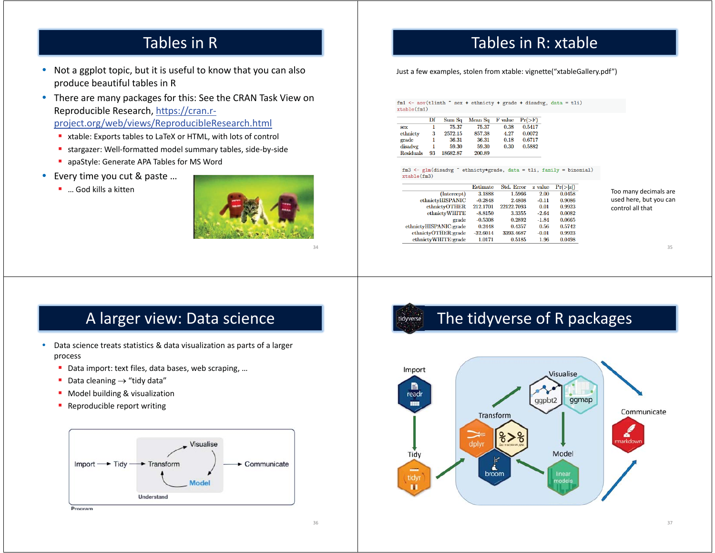### Tables in R

• Not a ggplot topic, but it is useful to know that you can also produce beautiful tables in R

• There are many packages for this: See the CRAN Task View on Reproducible Research, https://cran.rproject.org/web/views/ReproducibleResearch.html

- xtable: Exports tables to LaTeX or HTML, with lots of control
- stargazer: Well-formatted model summary tables, side-by-side
- **a** apaStyle: Generate APA Tables for MS Word
- • Every time you cut & paste …
	- … God kills a kitten



34

### Tables in R: xtable

Just a few examples, stolen from xtable: vignette("xtableGallery.pdf")

 $xtable(fm1)$ 

|                  | Df | Sum Sq   | Mean Sq | F value | $Pr(>\ F)$ |
|------------------|----|----------|---------|---------|------------|
| sex              |    | 75.37    | 75.37   | 0.38    | 0.5417     |
| ethnicty         | 3  | 2572.15  | 857.38  | 4.27    | 0.0072     |
| grade            |    | 36.31    | 36.31   | 0.18    | 0.6717     |
| disadvg          |    | 59.30    | 59.30   | 0.30    | 0.5882     |
| <b>Residuals</b> | 93 | 18682.87 | 200.89  |         |            |

 $fm3 \leftarrow glm(disadyg \text{ * }ethnicty*grade, data = tli, family = binomial)$  $xtable(fm3)$ 

|                        | <b>Estimate</b> | Std. Error | z value | $Pr(>\vert z \vert)$ |
|------------------------|-----------------|------------|---------|----------------------|
| (Intercept)            | 3.1888          | 1.5966     | 2.00    | 0.0458               |
| ethnictyHISPANIC       | $-0.2848$       | 2.4808     | $-0.11$ | 0.9086               |
| ethnictyOTHER          | 212.1701        | 22122.7093 | 0.01    | 0.9923               |
| ethnictvWHITE          | $-8.8150$       | 3.3355     | $-2.64$ | 0.0082               |
| grade                  | $-0.5308$       | 0.2892     | $-1.84$ | 0.0665               |
| ethnictyHISPANIC:grade | 0.2448          | 0.4357     | 0.56    | 0.5742               |
| ethnictyOTHER:grade    | $-32.6014$      | 3393.4687  | $-0.01$ | 0.9923               |
| ethnictyWHITE:grade    | 1.0171          | 0.5185     | 1.96    | 0.0498               |

Too many decimals are used here, but you can control all that

#### 35

#### A larger view: Data science

- • Data science treats statistics & data visualization as parts of a larger process
	- Data import: text files, data bases, web scraping, ...
	- Data cleaning  $\rightarrow$  "tidy data"
	- Model building & visualization
	- **-** Reproducible report writing



#### The tidyverse of R packages tidyverse

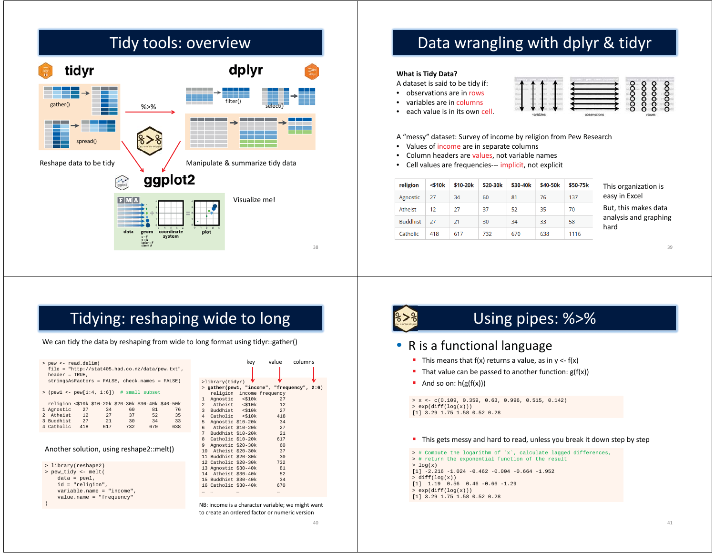# Tidy tools: overview



# Data wrangling with dplyr & tidyr

#### **What is Tidy Data?**

A dataset is said to be tidy if:

- •observations are in rows
- •variables are in columns
- •each value is in its own cell.



A "messy" dataset: Survey of income by religion from Pew Research

- •• Values of income are in separate columns
- •Column headers are values, not variable names
- •Cell values are frequencies--- implicit, not explicit

| religion        | $<$ \$10 $k$ | \$10-20k | \$20-30k | \$30-40k | \$40-50k | \$50-75k |
|-----------------|--------------|----------|----------|----------|----------|----------|
| Agnostic        | 27           | 34       | 60       | 81       | 76       | 137      |
| Atheist         | 12           | 27       | 37       | 52       | 35       | 70       |
| <b>Buddhist</b> | 27           | 21       | 30       | 34       | 33       | 58       |
| Catholic        | 418          | 617      | 732      | 670      | 638      | 1116     |

This organization is easy in Excel But, this makes data analysis and graphing hard

39

# Tidying: reshaping wide to long

We can tidy the data by reshaping from wide to long format using tidyr::gather()

| > pew <- read.delim(<br>$file = "http://stat405.had.co.nz/data/pew.txt",$<br>$header = TRUE,$                                                                                                                                                                                                       | value<br>columns<br>key                                                                                                                                                                                                                              |
|-----------------------------------------------------------------------------------------------------------------------------------------------------------------------------------------------------------------------------------------------------------------------------------------------------|------------------------------------------------------------------------------------------------------------------------------------------------------------------------------------------------------------------------------------------------------|
| stringsAsFactors = FALSE, check.names = FALSE)<br>$>$ (pewl <- pew[1:4, 1:6]) # small subset<br>religion <\$10k \$10-20k \$20-30k \$30-40k \$40-50k<br>1 Agnostic<br>27<br>60<br>34<br>81<br>76<br>12<br>2 Atheist<br>27<br>35<br>37<br>52<br>3 Buddhist<br>27<br>21<br>$\overline{30}$<br>34<br>33 | >library(tidyr)<br>> gather(pewl, "income", "frequency", 2:6)<br>religion income frequency<br>Agnostic <\$10k<br>27<br>Atheist <\$10k<br>12<br>$2^{\circ}$<br>3 Buddhist <\$10k<br>27<br>Catholic <\$10k<br>418<br>4<br>Agnostic \$10-20k<br>34<br>5 |
| 4 Catholic<br>418<br>617<br>732<br>670<br>638<br>Another solution, using reshape2::melt()                                                                                                                                                                                                           | 27<br>$6$ Atheist \$10-20 $k$<br>Buddhist \$10-20k<br>21<br>7<br>8 Catholic \$10-20k<br>617<br>9 Agnostic \$20-30k<br>60<br>Atheist \$20-30k<br>37<br>10<br>11 Buddhist \$20-30k<br>30                                                               |
| > library(reshape2)<br>> pew_tidy <- melt(<br>$data = pew1,$<br>$id$ = "religion",<br>$variable.name = "income",$<br>$value.name = "frequency"$                                                                                                                                                     | 12 Catholic \$20-30k<br>732<br>13 Agnostic \$30-40k<br>81<br>14 Atheist \$30-40k<br>52<br>15 Buddhist \$30-40k<br>34<br>16 Catholic \$30-40k<br>670<br><br>                                                                                          |
|                                                                                                                                                                                                                                                                                                     | NB: income is a character variable; we might want<br>to create an ordered factor or numeric version                                                                                                                                                  |



# Using pipes: %>%

#### • R is a functional language

- This means that  $f(x)$  returns a value, as in  $y \leq f(x)$
- That value can be passed to another function:  $g(f(x))$
- And so on:  $h(g(f(x)))$

 $> x \leftarrow c(0.109, 0.359, 0.63, 0.996, 0.515, 0.142)$ > exp(diff(log(x))) [1] 3.29 1.75 1.58 0.52 0.28

#### **This gets messy and hard to read, unless you break it down step by step**

> # Compute the logarithm of `x`, calculate lagged differences, > # return the exponential function of the result  $> log(x)$ [1] -2.216 -1.024 -0.462 -0.004 -0.664 -1.952  $>$  diff(log(x)) [1] 1.19 0.56 0.46 -0.66 -1.29 > exp(diff(log(x))) [1] 3.29 1.75 1.58 0.52 0.28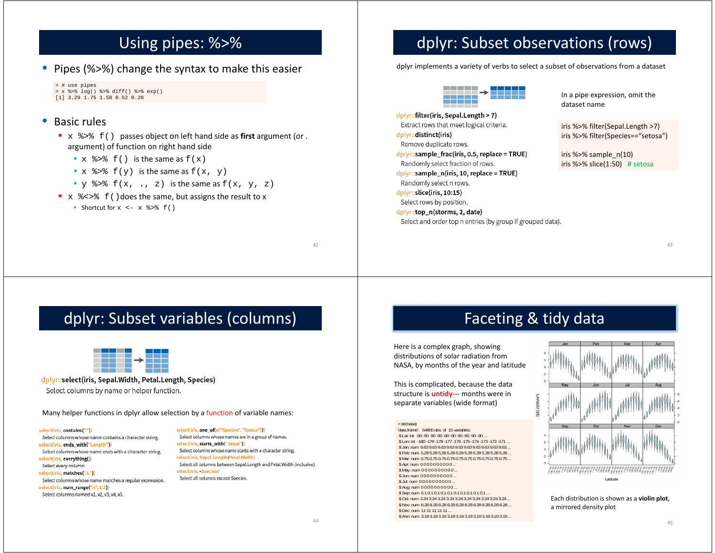### Using pipes: %>%

• Pipes (%>%) change the syntax to make this easier

```
> # use pipes
> x %>% log() %>% diff() %>% exp()
[1] 3.29 1.75 1.58 0.52 0.28
```
#### $\bullet$ Basic rules

- x %>% f() passes object on left hand side as **first** argument (or . argument) of function on right hand side
	- $x \approx 1$  () is the same as  $f(x)$
	- $x \text{ }$   $\text{*}$  >  $\text{*}$   $f(y)$  is the same as  $f(x, y)$
	- $y \text{ }$   $\text{*}$  >  $\text{*}$   $f(x, \ldots, z)$  is the same as  $f(x, y, z)$
- $x \text{ } 8 \lt 5 \text{ } f()$  does the same, but assigns the result to x
	- Shortcut for  $x \le -x$   $\frac{1}{2}$   $\frac{1}{2}$   $\frac{1}{2}$   $\frac{1}{2}$   $\frac{1}{2}$   $\frac{1}{2}$   $\frac{1}{2}$   $\frac{1}{2}$   $\frac{1}{2}$   $\frac{1}{2}$   $\frac{1}{2}$   $\frac{1}{2}$   $\frac{1}{2}$   $\frac{1}{2}$   $\frac{1}{2}$   $\frac{1}{2}$   $\frac{1}{2}$   $\frac{1}{2}$   $\frac{1}{2}$   $\frac{1}{2}$

# dplyr: Subset observations (rows)

dplyr implements a variety of verbs to select a subset of observations from a dataset



dplyr::filter(iris, Sepal.Length > 7) Extract rows that meet logical criteria. dplyr::distinct(iris) Remove duplicate rows. dplyr::sample\_frac(iris, 0.5, replace = TRUE) Randomly select fraction of rows. dplyr::sample\_n(iris, 10, replace = TRUE) Randomly select n rows. dplyr::slice(iris, 10:15) Select rows by position. dplyr::top\_n(storms, 2, date) Select and order top n entries (by group if grouped data).

In a pipe expression, omit the dataset name

iris %>% filter(Sepal.Length >7) iris %>% filter(Species=="setosa")

iris %>% sample\_n(10) iris %>% slice(1:50) # setosa

### dplyr: Subset variables (columns)



#### dplyr::select(iris, Sepal.Width, Petal.Length, Species)

Select columns by name or helper function.

Many helper functions in dplyr allow selection by a function of variable names:

select(iris, contains(",") Select columns whose name contains a character string. select(iris, ends\_with("Length")) Select columns whose name ends with a character string. select(iris, everything() Select every column select(iris, matches(".t.")) Select columns whose name matches a regular expression. select(iris, num\_range("x", 1:5)) Select columns named x1, x2, x3, x4, x5.

select(iris, one\_of(c("Species", "Genus"))) Select columns whose names are in a group of names. select(iris, starts\_with("Sepal")) Select columns whose name starts with a character string. select(iris, Sepal,Length:Petal,Width) Select all columns between Sepal.Length and Petal.Width (inclusive). select(iris, Species) Select all columns except Species.

### Faceting & tidy data

Here is a complex graph, showing distributions of solar radiation from NASA, by months of the year and latitude

This is complicated, because the data structure is **untidy**--- months were in separate variables (wide format)

> str(nasa)

 \$ Lat: int -90 -90 -90 -90 -90 -90 -90 -90 -90 -90 ... \$ Lon: int -180 -179 -178 -177 -176 -175 -174 -173 -172 -171 \$ Jan: num 9.63 9.63 9.63 9.63 9.63 9.63 9.63 9.63 9.63 9.63 ... \$ Feb: num 5.28 5.28 5.28 5.28 5.28 5.28 5.28 5.28 5.28 5.28 ... \$ Mar: num 0.75 0.75 0.75 0.75 0.75 0.75 0.75 0.75 0.75 0.75 ... \$ Apr: num 0000000000. \$ May: num 0000000000... \$ Jun: num 0 0 0 0 0 0 0 0 0 0 ... \$ Jul: num 0000000000. \$ Aug: num 0000000000. \$ Sep: num 0.1 0.1 0.1 0.1 0.1 0.1 0.1 0.1 0.1 0.1 ... \$ Oct: num 3.24 3.24 3.24 3.24 3.24 3.24 3.24 3.24 3.24 3.24 ... \$ Nov: num 8.28 8.28 8.28 8.28 8.28 8.28 8.28 8.28 8.28 8.28 ... \$ Dec: num 11 11 11 11 11 . \$ Ann: num 3.19 3.19 3.19 3.19 3.19 3.19 3.19 3.19 3.19 3.19 ...



Each distribution is shown as a **violin plot**, a mirrored density plot

42

<sup>&#</sup>x27;data.frame': 64800 obs. of 15 variables: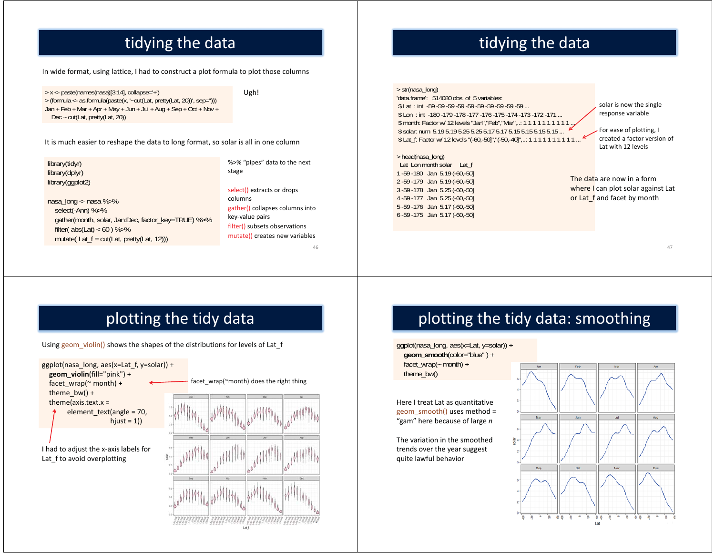# tidying the data

In wide format, using lattice, I had to construct a plot formula to plot those columns

> <sup>x</sup> <- paste(names(nasa)[3:14], collapse='+') > (formula <- as.formula(paste(x, '~cut(Lat, pretty(Lat, 20))', sep=''))) Jan + Feb + Mar + Apr + May + Jun + Jul + Aug + Sep + Oct + Nov + Dec ~ cut(Lat, pretty(Lat, 20))

Ugh!

It is much easier to reshape the data to long format, so solar is all in one column

library(tidyr) library(dplyr) library(ggplot2)

nasa\_long <- nasa %>% select(-Ann) %>% gather(month, solar, Jan:Dec, factor\_key=TRUE) %>% filter( $abs(Lat) < 60$ ) %>% mutate( Lat  $f = \text{cut}(\text{Lat}, \text{ pretty}(\text{Lat}, 12)))$ )

%>% "pipes" data to the next stage

select() extracts or drops columns gather() collapses columns into key-value pairs filter() subsets observations mutate() creates new variables

46

48

# tidying the data

> str(nasa\_long) 'data.frame': 514080 obs. of 5 variables:\$ Lat : int -59 -59 -59 -59 -59 -59 -59 -59 -59 -59 ... \$ Lon : int -180 -179 -178 -177 -176 -175 -174 -173 -172 -171 ... \$ month: Factor w/ 12 levels "Jan", "Feb", "Mar",..: 1 1 1 1 1 1 1 1 1 1 1 \$ solar: num 5.19 5.19 5.25 5.25 5.17 5.17 5.15 5.15 5.15 5.15 \$ Lat\_f: Factor w/ 12 levels "(-60,-50]", "(-50,-40]",..: 1 1 1 1 1 1 1 1 1 1 1 ..

> head(nasa\_long)

Lat Lon month solar Lat f -59 -180 Jan 5.19 (-60,-50] -59 -179 Jan 5.19 (-60,-50] -59 -178 Jan 5.25 (-60,-50] -59 -177 Jan 5.25 (-60,-50] -59 -176 Jan 5.17 (-60,-50] -59 -175 Jan 5.17 (-60,-50]

solar is now the single response variable

For ease of plotting, I created a factor version of Lat with 12 levels

The data are now in a form where I can plot solar against Lat or Lat f and facet by month

47

# plotting the tidy data

Using geom violin() shows the shapes of the distributions for levels of Lat f



# plotting the tidy data: smoothing

ggplot(nasa\_long, aes(x=Lat, y=solar)) + **geom\_smooth**(color="blue" ) + facet\_wrap( $\sim$  month) + theme\_bw()

Here I treat Lat as quantitative geom\_smooth() uses method = "gam" here because of large *<sup>n</sup>*

The variation in the smoothed trends over the year suggest quite lawful behavior